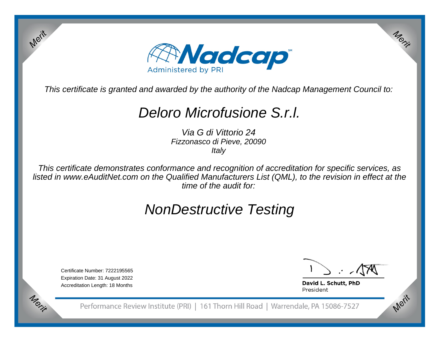

This certificate is granted and awarded by the authority of the Nadcap Management Council to:

# Deloro Microfusione S.r.l.

Via G di Vittorio 24 Fizzonasco di Pieve, 20090**Italy** 

This certificate demonstrates conformance and recognition of accreditation for specific services, as listed in www.eAuditNet.com on the Qualified Manufacturers List (QML), to the revision in effect at thetime of the audit for:

# NonDestructive Testing

Certificate Number: 7222195565 Expiration Date: 31 August 2022Accreditation Length: 18 Months

Merit

Merit

Merit

Merit

David L. Schutt, PhD President

Performance Review Institute (PRI) | 161 Thorn Hill Road | Warrendale, PA 15086-7527